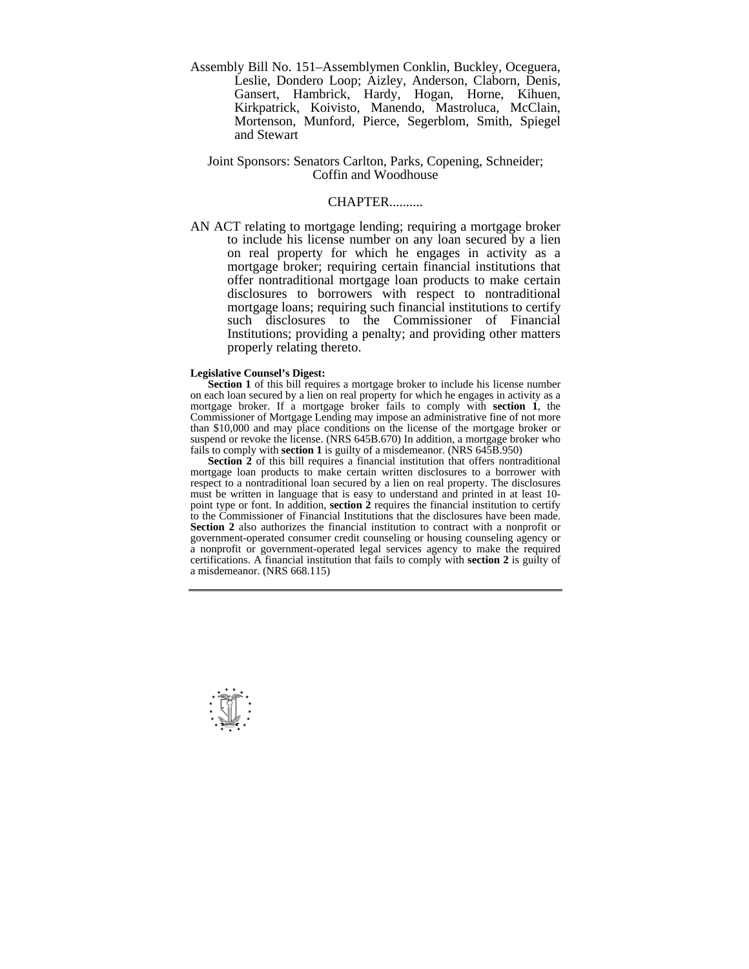Assembly Bill No. 151–Assemblymen Conklin, Buckley, Oceguera, Leslie, Dondero Loop; Aizley, Anderson, Claborn, Denis, Gansert, Hambrick, Hardy, Hogan, Horne, Kihuen, Kirkpatrick, Koivisto, Manendo, Mastroluca, McClain, Mortenson, Munford, Pierce, Segerblom, Smith, Spiegel and Stewart

## Joint Sponsors: Senators Carlton, Parks, Copening, Schneider; Coffin and Woodhouse

## CHAPTER..........

AN ACT relating to mortgage lending; requiring a mortgage broker to include his license number on any loan secured by a lien on real property for which he engages in activity as a mortgage broker; requiring certain financial institutions that offer nontraditional mortgage loan products to make certain disclosures to borrowers with respect to nontraditional mortgage loans; requiring such financial institutions to certify such disclosures to the Commissioner of Financial Institutions; providing a penalty; and providing other matters properly relating thereto.

## **Legislative Counsel's Digest:**

**Section 1** of this bill requires a mortgage broker to include his license number on each loan secured by a lien on real property for which he engages in activity as a mortgage broker. If a mortgage broker fails to comply with **section 1**, the Commissioner of Mortgage Lending may impose an administrative fine of not more than \$10,000 and may place conditions on the license of the mortgage broker or suspend or revoke the license. (NRS 645B.670) In addition, a mortgage broker who fails to comply with **section 1** is guilty of a misdemeanor. (NRS 645B.950)

**Section 2** of this bill requires a financial institution that offers nontraditional mortgage loan products to make certain written disclosures to a borrower with respect to a nontraditional loan secured by a lien on real property. The disclosures must be written in language that is easy to understand and printed in at least 10 point type or font. In addition, **section 2** requires the financial institution to certify to the Commissioner of Financial Institutions that the disclosures have been made. **Section 2** also authorizes the financial institution to contract with a nonprofit or government-operated consumer credit counseling or housing counseling agency or a nonprofit or government-operated legal services agency to make the required certifications. A financial institution that fails to comply with **section 2** is guilty of a misdemeanor. (NRS 668.115)

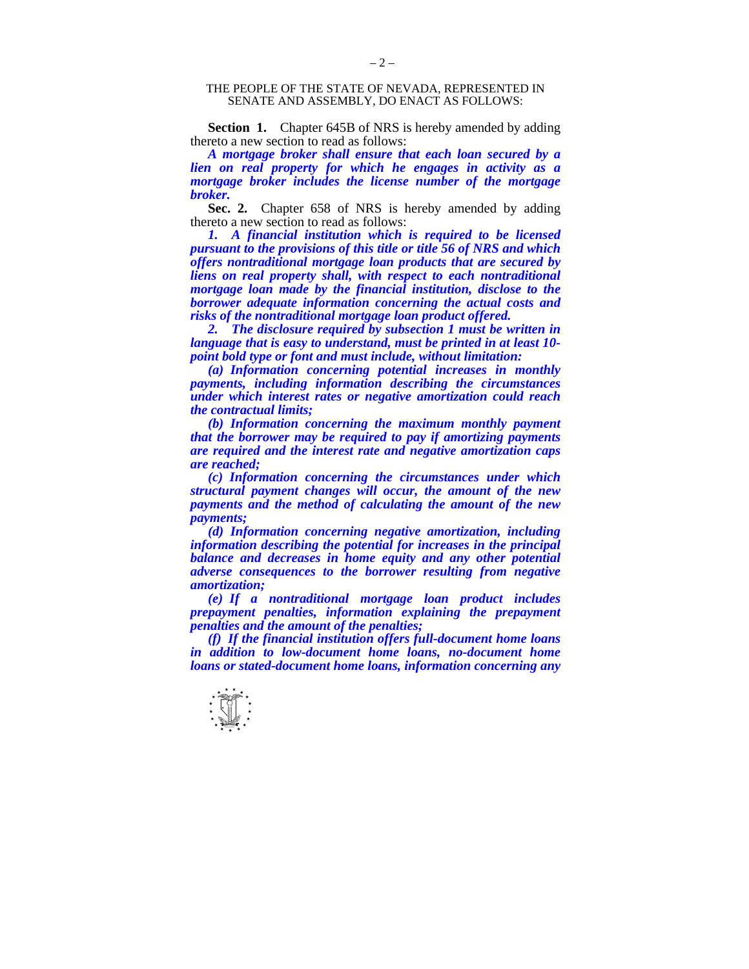## THE PEOPLE OF THE STATE OF NEVADA, REPRESENTED IN SENATE AND ASSEMBLY, DO ENACT AS FOLLOWS:

**Section 1.** Chapter 645B of NRS is hereby amended by adding thereto a new section to read as follows:

*A mortgage broker shall ensure that each loan secured by a lien on real property for which he engages in activity as a mortgage broker includes the license number of the mortgage broker.* 

Sec. 2. Chapter 658 of NRS is hereby amended by adding thereto a new section to read as follows:

*1. A financial institution which is required to be licensed pursuant to the provisions of this title or title 56 of NRS and which offers nontraditional mortgage loan products that are secured by liens on real property shall, with respect to each nontraditional mortgage loan made by the financial institution, disclose to the borrower adequate information concerning the actual costs and risks of the nontraditional mortgage loan product offered.* 

 *2. The disclosure required by subsection 1 must be written in language that is easy to understand, must be printed in at least 10 point bold type or font and must include, without limitation:* 

 *(a) Information concerning potential increases in monthly payments, including information describing the circumstances under which interest rates or negative amortization could reach the contractual limits;* 

 *(b) Information concerning the maximum monthly payment that the borrower may be required to pay if amortizing payments are required and the interest rate and negative amortization caps are reached;* 

 *(c) Information concerning the circumstances under which structural payment changes will occur, the amount of the new payments and the method of calculating the amount of the new payments;* 

 *(d) Information concerning negative amortization, including information describing the potential for increases in the principal balance and decreases in home equity and any other potential adverse consequences to the borrower resulting from negative amortization;* 

 *(e) If a nontraditional mortgage loan product includes prepayment penalties, information explaining the prepayment penalties and the amount of the penalties;* 

 *(f) If the financial institution offers full-document home loans in addition to low-document home loans, no-document home loans or stated-document home loans, information concerning any* 

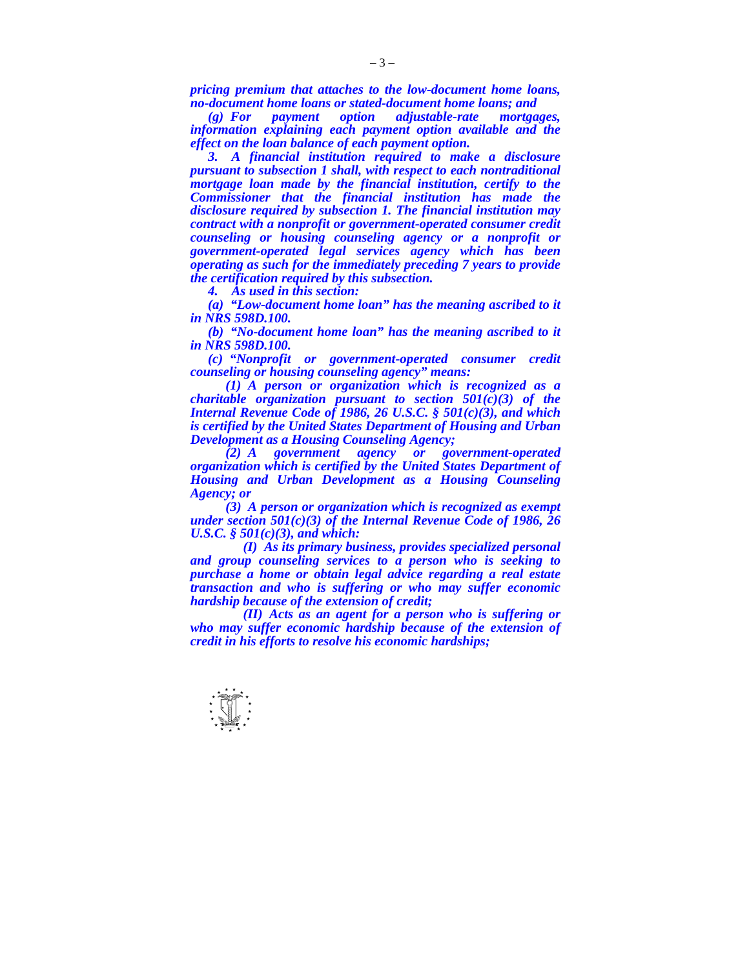*pricing premium that attaches to the low-document home loans, no-document home loans or stated-document home loans; and* 

 *(g) For payment option adjustable-rate mortgages, information explaining each payment option available and the effect on the loan balance of each payment option.* 

 *3. A financial institution required to make a disclosure pursuant to subsection 1 shall, with respect to each nontraditional mortgage loan made by the financial institution, certify to the Commissioner that the financial institution has made the disclosure required by subsection 1. The financial institution may contract with a nonprofit or government-operated consumer credit counseling or housing counseling agency or a nonprofit or government-operated legal services agency which has been operating as such for the immediately preceding 7 years to provide the certification required by this subsection.* 

 *4. As used in this section:* 

 *(a) "Low-document home loan" has the meaning ascribed to it in NRS 598D.100.* 

 *(b) "No-document home loan" has the meaning ascribed to it in NRS 598D.100.* 

 *(c) "Nonprofit or government-operated consumer credit counseling or housing counseling agency" means:* 

 *(1) A person or organization which is recognized as a charitable organization pursuant to section 501(c)(3) of the Internal Revenue Code of 1986, 26 U.S.C. § 501(c)(3), and which is certified by the United States Department of Housing and Urban Development as a Housing Counseling Agency;* 

 *(2) A government agency or government-operated organization which is certified by the United States Department of Housing and Urban Development as a Housing Counseling Agency; or* 

 *(3) A person or organization which is recognized as exempt under section 501(c)(3) of the Internal Revenue Code of 1986, 26 U.S.C. § 501(c)(3), and which:* 

 *(I) As its primary business, provides specialized personal and group counseling services to a person who is seeking to purchase a home or obtain legal advice regarding a real estate transaction and who is suffering or who may suffer economic hardship because of the extension of credit;* 

 *(II) Acts as an agent for a person who is suffering or who may suffer economic hardship because of the extension of credit in his efforts to resolve his economic hardships;*